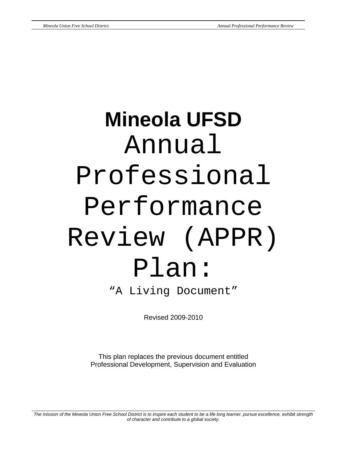# **Mineola UFSD**  Annual Professional Performance Review (APPR) Plan: "A Living Document"

Revised 2009-2010

This plan replaces the previous document entitled Professional Development, Supervision and Evaluation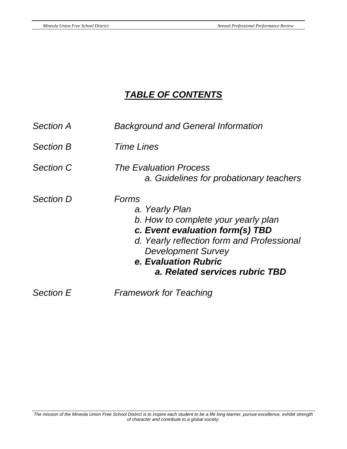# *TABLE OF CONTENTS*

| <b>Section A</b> | <b>Background and General Information</b>                                                                                                                                                                                              |  |  |
|------------------|----------------------------------------------------------------------------------------------------------------------------------------------------------------------------------------------------------------------------------------|--|--|
| <b>Section B</b> | <i>Time Lines</i>                                                                                                                                                                                                                      |  |  |
| <b>Section C</b> | The Evaluation Process<br>a. Guidelines for probationary teachers                                                                                                                                                                      |  |  |
| <b>Section D</b> | Forms<br>a. Yearly Plan<br>b. How to complete your yearly plan<br>c. Event evaluation form(s) TBD<br>d. Yearly reflection form and Professional<br><b>Development Survey</b><br>e. Evaluation Rubric<br>a. Related services rubric TBD |  |  |
| <b>Section E</b> | <b>Framework for Teaching</b>                                                                                                                                                                                                          |  |  |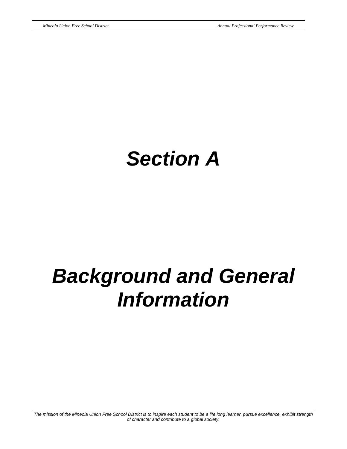# *Section A*

# *Background and General Information*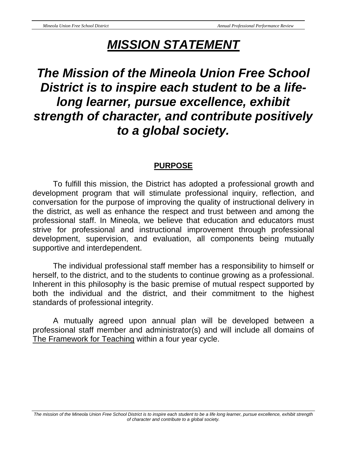# *MISSION STATEMENT*

# *The Mission of the Mineola Union Free School District is to inspire each student to be a lifelong learner, pursue excellence, exhibit strength of character, and contribute positively to a global society.*

## **PURPOSE**

 To fulfill this mission, the District has adopted a professional growth and development program that will stimulate professional inquiry, reflection, and conversation for the purpose of improving the quality of instructional delivery in the district, as well as enhance the respect and trust between and among the professional staff. In Mineola, we believe that education and educators must strive for professional and instructional improvement through professional development, supervision, and evaluation, all components being mutually supportive and interdependent.

 The individual professional staff member has a responsibility to himself or herself, to the district, and to the students to continue growing as a professional. Inherent in this philosophy is the basic premise of mutual respect supported by both the individual and the district, and their commitment to the highest standards of professional integrity.

 A mutually agreed upon annual plan will be developed between a professional staff member and administrator(s) and will include all domains of The Framework for Teaching within a four year cycle.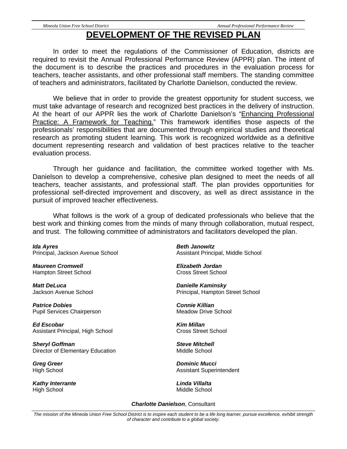### **DEVELOPMENT OF THE REVISED PLAN**

 In order to meet the regulations of the Commissioner of Education, districts are required to revisit the Annual Professional Performance Review (APPR) plan. The intent of the document is to describe the practices and procedures in the evaluation process for teachers, teacher assistants, and other professional staff members. The standing committee of teachers and administrators, facilitated by Charlotte Danielson, conducted the review.

 We believe that in order to provide the greatest opportunity for student success, we must take advantage of research and recognized best practices in the delivery of instruction. At the heart of our APPR lies the work of Charlotte Danielson's "Enhancing Professional Practice: A Framework for Teaching." This framework identifies those aspects of the professionals' responsibilities that are documented through empirical studies and theoretical research as promoting student learning. This work is recognized worldwide as a definitive document representing research and validation of best practices relative to the teacher evaluation process.

 Through her guidance and facilitation, the committee worked together with Ms. Danielson to develop a comprehensive, cohesive plan designed to meet the needs of all teachers, teacher assistants, and professional staff. The plan provides opportunities for professional self-directed improvement and discovery, as well as direct assistance in the pursuit of improved teacher effectiveness.

 What follows is the work of a group of dedicated professionals who believe that the best work and thinking comes from the minds of many through collaboration, mutual respect, and trust. The following committee of administrators and facilitators developed the plan.

*Ida Ayres*  Principal, Jackson Avenue School

*Maureen Cromwell*  Hampton Street School

*Matt DeLuca*  Jackson Avenue School

*Patrice Dobies*  Pupil Services Chairperson

*Ed Escobar*  Assistant Principal, High School

*Sheryl Goffman*  Director of Elementary Education

*Greg Greer*  High School

*Kathy Interrante*  High School

*Beth Janowitz*  Assistant Principal, Middle School

*Elizabeth Jordan*  Cross Street School

*Danielle Kaminsky*  Principal, Hampton Street School

*Connie Killian*  Meadow Drive School

*Kim Millan*  Cross Street School

*Steve Mitchell*  Middle School

*Dominic Mucci*  Assistant Superintendent

*Linda Villalta*  Middle School

#### *Charlotte Danielson*, Consultant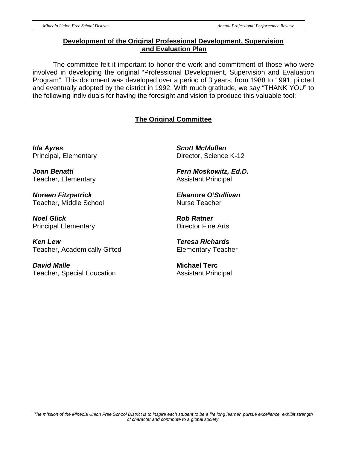#### **Development of the Original Professional Development, Supervision and Evaluation Plan**

The committee felt it important to honor the work and commitment of those who were involved in developing the original "Professional Development, Supervision and Evaluation Program". This document was developed over a period of 3 years, from 1988 to 1991, piloted and eventually adopted by the district in 1992. With much gratitude, we say "THANK YOU" to the following individuals for having the foresight and vision to produce this valuable tool:

#### **The Original Committee**

*Ida Ayres*  Principal, Elementary

*Joan Benatti*  Teacher, Elementary

*Noreen Fitzpatrick*  Teacher, Middle School

*Noel Glick*  Principal Elementary

*Ken Lew*  Teacher, Academically Gifted

*David Malle*  Teacher, Special Education

*Scott McMullen*  Director, Science K-12

*Fern Moskowitz, Ed.D.*  Assistant Principal

*Eleanore O'Sullivan*  Nurse Teacher

*Rob Ratner*  Director Fine Arts

*Teresa Richards*  Elementary Teacher

**Michael Terc**  Assistant Principal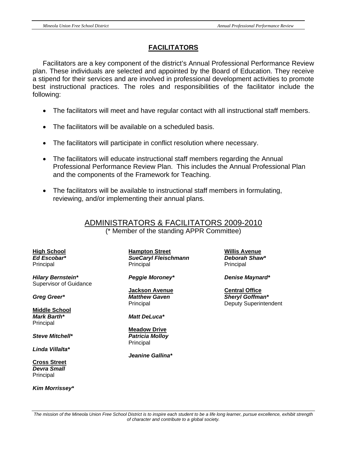#### **FACILITATORS**

Facilitators are a key component of the district's Annual Professional Performance Review plan. These individuals are selected and appointed by the Board of Education. They receive a stipend for their services and are involved in professional development activities to promote best instructional practices. The roles and responsibilities of the facilitator include the following:

- The facilitators will meet and have regular contact with all instructional staff members.
- The facilitators will be available on a scheduled basis.
- The facilitators will participate in conflict resolution where necessary.
- The facilitators will educate instructional staff members regarding the Annual Professional Performance Review Plan. This includes the Annual Professional Plan and the components of the Framework for Teaching.
- The facilitators will be available to instructional staff members in formulating, reviewing, and/or implementing their annual plans.

ADMINISTRATORS & FACILITATORS 2009-2010 (\* Member of the standing APPR Committee)

*Hilary Bernstein\* Peggie Moroney\* Denise Maynard\**  Supervisor of Guidance

**Middle School** *Mark Barth\* Matt DeLuca\**  Principal

*Steve Mitchell\* Patricia Molloy* 

*Linda Villalta\** 

**Cross Street** *Devra Small*  **Principal** 

*Kim Morrissey\** 

**High School Hampton Street Willis Avenue** *Ed Escobar\* SueCaryl Fleischmann Deborah Shaw\**  Principal Principal Principal Principal Principal Principal Principal Principal Principal Principal Principal Principal Principal Principal Principal Principal Principal Principal Principal Principal Principal Principal Pr

**Jackson Avenue** Central Office

 **Meadow Drive** Principal

 *Jeanine Gallina\** 

*Greg Greer\* Matthew Gaven Sheryl Goffman\**  Principal Deputy Superintendent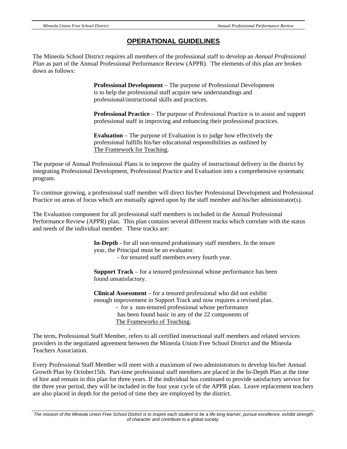#### **OPERATIONAL GUIDELINES**

The Mineola School District requires all members of the professional staff to develop an *Annual Professional Plan* as part of the Annual Professional Performance Review (APPR). The elements of this plan are broken down as follows:

> **Professional Development** – The purpose of Professional Development is to help the professional staff acquire new understandings and professional/instructional skills and practices.

 **Professional Practice** – The purpose of Professional Practice is to assist and support professional staff in improving and enhancing their professional practices.

**Evaluation** – The purpose of Evaluation is to judge how effectively the professional fulfills his/her educational responsibilities as outlined by The Framework for Teaching.

The purpose of Annual Professional Plans is to improve the quality of instructional delivery in the district by integrating Professional Development, Professional Practice and Evaluation into a comprehensive systematic program.

To continue growing, a professional staff member will direct his/her Professional Development and Professional Practice on areas of focus which are mutually agreed upon by the staff member and his/her administrator(s).

The Evaluation component for all professional staff members is included in the Annual Professional Performance Review (APPR) plan. This plan contains several different tracks which correlate with the status and needs of the individual member. These tracks are:

> **In-Depth** - for all non-tenured probationary staff members. In the tenure year, the Principal must be an evaluator.

- for tenured staff members every fourth year.

 **Support Track** – for a tenured professional whose performance has been found unsatisfactory.

 **Clinical Assessment** – for a tenured professional who did not exhibit enough improvement in Support Track and now requires a revised plan. - for a non-tenured professional whose performance has been found basic in any of the 22 components of The Frameworks of Teaching.

The term, Professional Staff Member, refers to all certified instructional staff members and related services providers in the negotiated agreement between the Mineola Union Free School District and the Mineola Teachers Association.

-

Every Professional Staff Member will meet with a maximum of two administrators to develop his/her Annual Growth Plan by October15th. Part-time professional staff members are placed in the In-Depth Plan at the time of hire and remain in this plan for three years. If the individual has continued to provide satisfactory service for the three year period, they will be included in the four year cycle of the APPR plan. Leave replacement teachers are also placed in depth for the period of time they are employed by the district.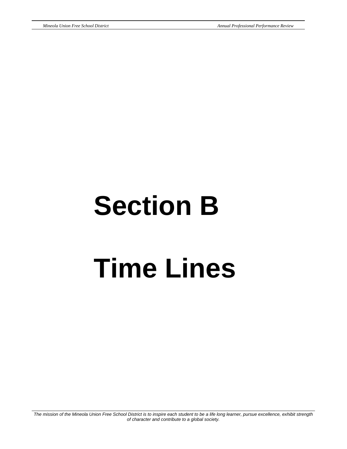# **Section B Time Lines**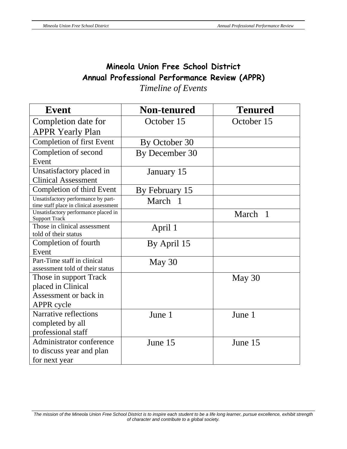## **Mineola Union Free School District Annual Professional Performance Review (APPR)**  *Timeline of Events*

| <b>Event</b>                                                                   | <b>Non-tenured</b> | <b>Tenured</b>        |
|--------------------------------------------------------------------------------|--------------------|-----------------------|
| Completion date for                                                            | October 15         | October 15            |
| <b>APPR Yearly Plan</b>                                                        |                    |                       |
| <b>Completion of first Event</b>                                               | By October 30      |                       |
| Completion of second                                                           | By December 30     |                       |
| Event                                                                          |                    |                       |
| Unsatisfactory placed in                                                       | January 15         |                       |
| <b>Clinical Assessment</b>                                                     |                    |                       |
| Completion of third Event                                                      | By February 15     |                       |
| Unsatisfactory performance by part-<br>time staff place in clinical assessment | March 1            |                       |
| Unsatisfactory performance placed in<br><b>Support Track</b>                   |                    | March<br>$\mathbf{1}$ |
| Those in clinical assessment                                                   | April 1            |                       |
| told of their status                                                           |                    |                       |
| Completion of fourth                                                           | By April 15        |                       |
| Event                                                                          |                    |                       |
| Part-Time staff in clinical                                                    | May 30             |                       |
| assessment told of their status                                                |                    |                       |
| Those in support Track                                                         |                    | May 30                |
| placed in Clinical                                                             |                    |                       |
| Assessment or back in                                                          |                    |                       |
| APPR cycle                                                                     |                    |                       |
| Narrative reflections                                                          | June 1             | June 1                |
| completed by all                                                               |                    |                       |
| professional staff                                                             |                    |                       |
| Administrator conference<br>June 15                                            |                    | June 15               |
| to discuss year and plan                                                       |                    |                       |
| for next year                                                                  |                    |                       |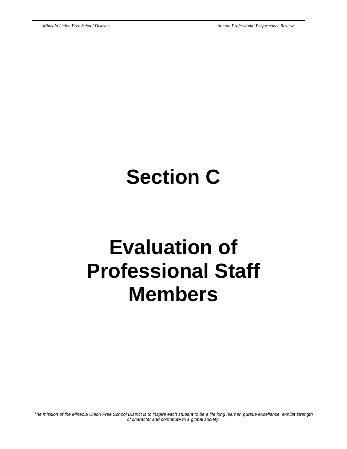.

# **Section C**

# **Evaluation of Professional Staff Members**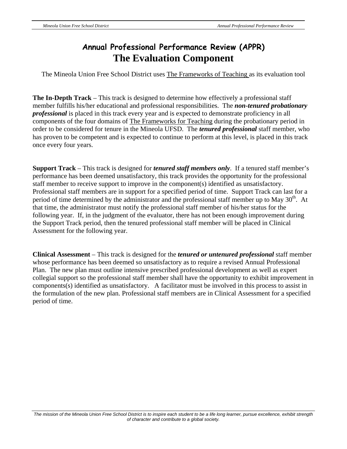# **Annual Professional Performance Review (APPR) The Evaluation Component**

The Mineola Union Free School District uses The Frameworks of Teaching as its evaluation tool

**The In-Depth Track** – This track is designed to determine how effectively a professional staff member fulfills his/her educational and professional responsibilities. The *non-tenured probationary professional* is placed in this track every year and is expected to demonstrate proficiency in all components of the four domains of The Frameworks for Teaching during the probationary period in order to be considered for tenure in the Mineola UFSD. The *tenured professional* staff member, who has proven to be competent and is expected to continue to perform at this level, is placed in this track once every four years.

**Support Track** – This track is designed for *tenured staff members only*. If a tenured staff member's performance has been deemed unsatisfactory, this track provides the opportunity for the professional staff member to receive support to improve in the component(s) identified as unsatisfactory. Professional staff members are in support for a specified period of time. Support Track can last for a period of time determined by the administrator and the professional staff member up to May  $30<sup>th</sup>$ . At that time, the administrator must notify the professional staff member of his/her status for the following year. If, in the judgment of the evaluator, there has not been enough improvement during the Support Track period, then the tenured professional staff member will be placed in Clinical Assessment for the following year.

**Clinical Assessment** – This track is designed for the *tenured or untenured professional* staff member whose performance has been deemed so unsatisfactory as to require a revised Annual Professional Plan. The new plan must outline intensive prescribed professional development as well as expert collegial support so the professional staff member shall have the opportunity to exhibit improvement in components(s) identified as unsatisfactory. A facilitator must be involved in this process to assist in the formulation of the new plan. Professional staff members are in Clinical Assessment for a specified period of time.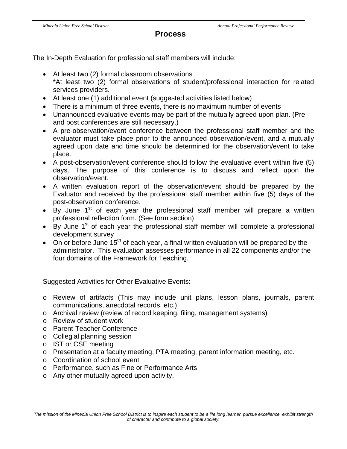#### **Process**

The In-Depth Evaluation for professional staff members will include:

- At least two (2) formal classroom observations \*At least two (2) formal observations of student/professional interaction for related services providers.
- At least one (1) additional event (suggested activities listed below)
- There is a minimum of three events, there is no maximum number of events
- Unannounced evaluative events may be part of the mutually agreed upon plan. (Pre and post conferences are still necessary.)
- A pre-observation/event conference between the professional staff member and the evaluator must take place prior to the announced observation/event, and a mutually agreed upon date and time should be determined for the observation/event to take place.
- A post-observation/event conference should follow the evaluative event within five (5) days. The purpose of this conference is to discuss and reflect upon the observation/event.
- A written evaluation report of the observation/event should be prepared by the Evaluator and received by the professional staff member within five (5) days of the post-observation conference.
- By June  $1<sup>st</sup>$  of each year the professional staff member will prepare a written professional reflection form. (See form section)
- By June  $1<sup>st</sup>$  of each year the professional staff member will complete a professional development survey
- On or before June 15<sup>th</sup> of each year, a final written evaluation will be prepared by the administrator. This evaluation assesses performance in all 22 components and/or the four domains of the Framework for Teaching.

Suggested Activities for Other Evaluative Events:

- o Review of artifacts (This may include unit plans, lesson plans, journals, parent communications, anecdotal records, etc.)
- o Archival review (review of record keeping, filing, management systems)
- o Review of student work
- o Parent-Teacher Conference
- o Collegial planning session
- o IST or CSE meeting
- o Presentation at a faculty meeting, PTA meeting, parent information meeting, etc.
- o Coordination of school event
- o Performance, such as Fine or Performance Arts
- o Any other mutually agreed upon activity.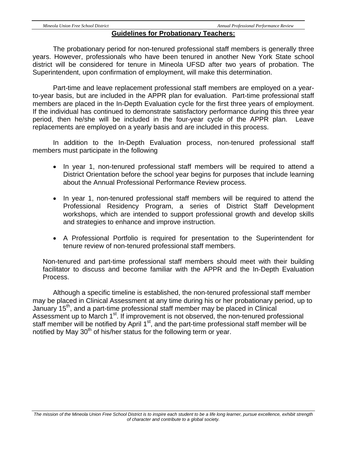#### **Guidelines for Probationary Teachers:**

The probationary period for non-tenured professional staff members is generally three years. However, professionals who have been tenured in another New York State school district will be considered for tenure in Mineola UFSD after two years of probation. The Superintendent, upon confirmation of employment, will make this determination.

 Part-time and leave replacement professional staff members are employed on a yearto-year basis, but are included in the APPR plan for evaluation. Part-time professional staff members are placed in the In-Depth Evaluation cycle for the first three years of employment. If the individual has continued to demonstrate satisfactory performance during this three year period, then he/she will be included in the four-year cycle of the APPR plan. Leave replacements are employed on a yearly basis and are included in this process.

 In addition to the In-Depth Evaluation process, non-tenured professional staff members must participate in the following

- In year 1, non-tenured professional staff members will be required to attend a District Orientation before the school year begins for purposes that include learning about the Annual Professional Performance Review process.
- In year 1, non-tenured professional staff members will be required to attend the Professional Residency Program, a series of District Staff Development workshops, which are intended to support professional growth and develop skills and strategies to enhance and improve instruction.
- A Professional Portfolio is required for presentation to the Superintendent for tenure review of non-tenured professional staff members.

Non-tenured and part-time professional staff members should meet with their building facilitator to discuss and become familiar with the APPR and the In-Depth Evaluation Process.

 Although a specific timeline is established, the non-tenured professional staff member may be placed in Clinical Assessment at any time during his or her probationary period, up to January 15<sup>th</sup>, and a part-time professional staff member may be placed in Clinical Assessment up to March 1<sup>st</sup>. If improvement is not observed, the non-tenured professional staff member will be notified by April 1<sup>st</sup>, and the part-time professional staff member will be notified by May  $30<sup>th</sup>$  of his/her status for the following term or year.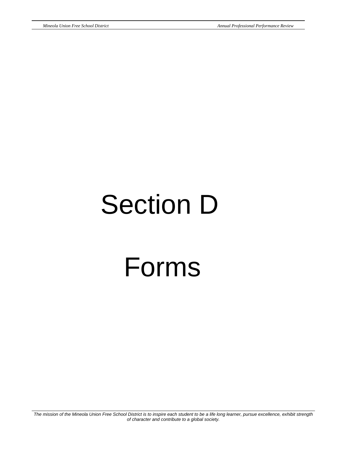# Section D Forms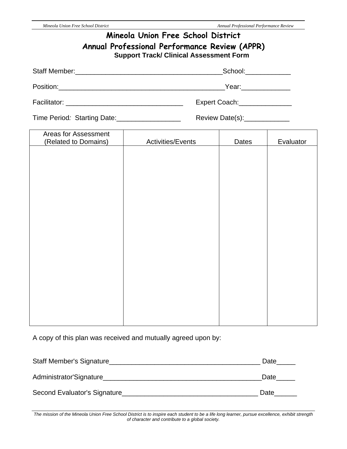| Mineola Union Free School District<br>Annual Professional Performance Review (APPR)<br><b>Support Track/ Clinical Assessment Form</b> |                          |                               |           |  |  |
|---------------------------------------------------------------------------------------------------------------------------------------|--------------------------|-------------------------------|-----------|--|--|
|                                                                                                                                       | $\_$ School: $\_\_$      |                               |           |  |  |
|                                                                                                                                       | Year: 1999               |                               |           |  |  |
|                                                                                                                                       |                          | Expert Coach:_______________  |           |  |  |
| Time Period: Starting Date:___________________                                                                                        |                          | Review Date(s):______________ |           |  |  |
| Areas for Assessment<br>(Related to Domains)                                                                                          | <b>Activities/Events</b> | <b>Dates</b>                  | Evaluator |  |  |
|                                                                                                                                       |                          |                               |           |  |  |

A copy of this plan was received and mutually agreed upon by:

| Staff Member's Signature     | Date |
|------------------------------|------|
| Administrator'Signature      | Date |
| Second Evaluator's Signature | Date |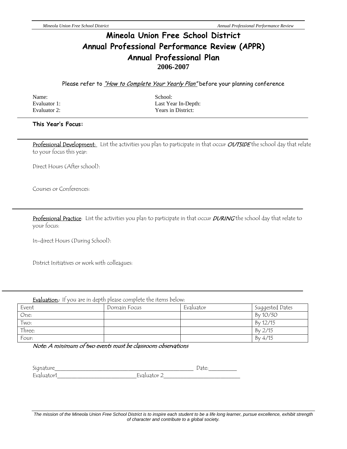### **Mineola Union Free School District Annual Professional Performance Review (APPR) Annual Professional Plan 2006-2007**

Please refer to *"How to Complete Your Yearly Plan"* before your planning conference

Name: School:

Evaluator 1: Last Year In-Depth: Evaluator 2: Years in District:

#### **This Year's Focus:**

Professional Development: List the activities you plan to participate in that occur OUTSIDE the school day that relate to your focus this year:

Direct Hours (After school):

Courses or Conferences:

Professional Practice: List the activities you plan to participate in that occur DURING the school day that relate to your focus:

In-direct Hours (During School):

District Initiatives or work with colleagues:

| <b>Evaluation:</b> If you are in depth please complete the items below: |              |           |                 |
|-------------------------------------------------------------------------|--------------|-----------|-----------------|
| Event                                                                   | Domain Focus | Evaluator | Suggested Dates |
| One:                                                                    |              |           | Bv 10/30        |
| Two:                                                                    |              |           | By 12/15        |
| Three:                                                                  |              |           | By 2/15         |

Four:  $\qquad \qquad \qquad \begin{array}{ccc} \text{Fourier} & \text{Equation (1)}\\ \text{Equation (2)} & \text{Equation (3)}\\ \text{Equation (4)} & \text{Equation (6)}\\ \text{Equation (6)} & \text{Equation (6)}\\ \text{Equation (6)} & \text{Equation (6)}\\ \text{Equation (6)} & \text{Equation (6)}\\ \text{Equation (6)} & \text{Equation (6)}\\ \text{Equation (6)} & \text{Equation (6)}\\ \text{Equation (6)} & \text{Equation (6)}\\ \text{Equation (6)} & \text{Equation (6)}\\$ 

Note: A minimum of two events must be classroom observations

| $\sim$<br>$\sim$ 1.<br><b>__</b> |   |
|----------------------------------|---|
| $\overline{\phantom{0}}$         |   |
| -                                |   |
| -                                | - |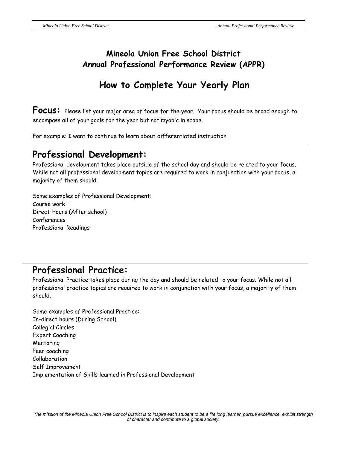## **Mineola Union Free School District Annual Professional Performance Review (APPR)**

# **How to Complete Your Yearly Plan**

**Focus:** Please list your major area of focus for the year. Your focus should be broad enough to encompass all of your goals for the year but not myopic in scope.

For example: I want to continue to learn about differentiated instruction

## **Professional Development:**

Professional development takes place outside of the school day and should be related to your focus. While not all professional development topics are required to work in conjunction with your focus, a majority of them should.

Some examples of Professional Development: Course work Direct Hours (After school) Conferences Professional Readings

## **Professional Practice:**

Professional Practice takes place during the day and should be related to your focus. While not all professional practice topics are required to work in conjunction with your focus, a majority of them should.

Some examples of Professional Practice: In-direct hours (During School) Collegial Circles Expert Coaching Mentoring Peer coaching Collaboration Self Improvement Implementation of Skills learned in Professional Development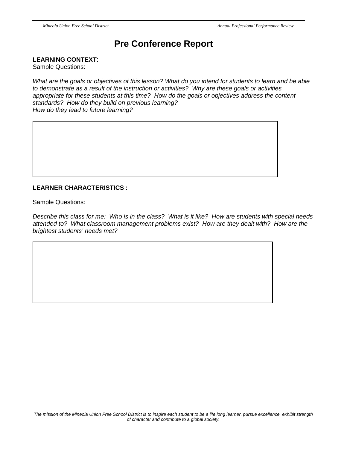## **Pre Conference Report**

**LEARNING CONTEXT**:

Sample Questions:

*What are the goals or objectives of this lesson? What do you intend for students to learn and be able to demonstrate as a result of the instruction or activities? Why are these goals or activities appropriate for these students at this time? How do the goals or objectives address the content standards? How do they build on previous learning? How do they lead to future learning?* 

#### **LEARNER CHARACTERISTICS :**

Sample Questions:

*Describe this class for me: Who is in the class? What is it like? How are students with special needs attended to? What classroom management problems exist? How are they dealt with? How are the brightest students' needs met?*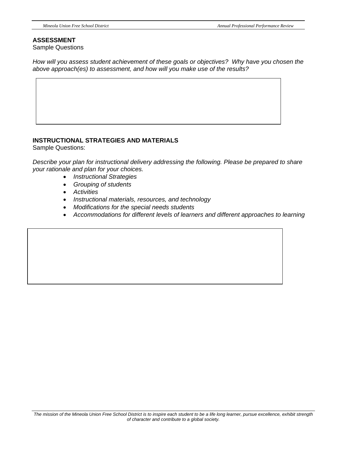#### **ASSESSMENT**

Sample Questions

*How will you assess student achievement of these goals or objectives? Why have you chosen the above approach(es) to assessment, and how will you make use of the results?* 

#### **INSTRUCTIONAL STRATEGIES AND MATERIALS**

Sample Questions:

*Describe your plan for instructional delivery addressing the following. Please be prepared to share your rationale and plan for your choices.* 

- *Instructional Strategies*
- *Grouping of students*
- *Activities*
- *Instructional materials, resources, and technology*
- *Modifications for the special needs students*
- *Accommodations for different levels of learners and different approaches to learning*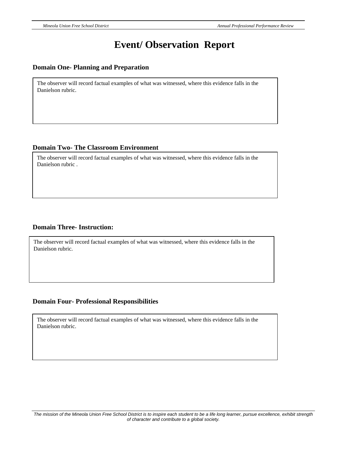# **Event/ Observation Report**

#### **Domain One- Planning and Preparation**

The observer will record factual examples of what was witnessed, where this evidence falls in the Danielson rubric.

#### **Domain Two- The Classroom Environment**

The observer will record factual examples of what was witnessed, where this evidence falls in the Danielson rubric .

#### **Domain Three- Instruction:**

The observer will record factual examples of what was witnessed, where this evidence falls in the Danielson rubric.

#### **Domain Four- Professional Responsibilities**

The observer will record factual examples of what was witnessed, where this evidence falls in the Danielson rubric.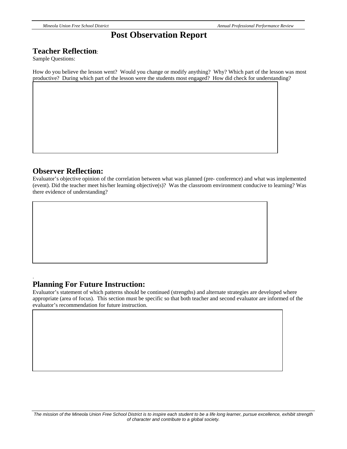#### **Post Observation Report**

#### **Teacher Reflection**:

Sample Questions:

How do you believe the lesson went? Would you change or modify anything? Why? Which part of the lesson was most productive? During which part of the lesson were the students most engaged? How did check for understanding?

#### **Observer Reflection:**

.

Evaluator's objective opinion of the correlation between what was planned (pre- conference) and what was implemented (event). Did the teacher meet his/her learning objective(s)? Was the classroom environment conducive to learning? Was there evidence of understanding?

#### **Planning For Future Instruction:**

Evaluator's statement of which patterns should be continued (strengths) and alternate strategies are developed where appropriate (area of focus). This section must be specific so that both teacher and second evaluator are informed of the evaluator's recommendation for future instruction.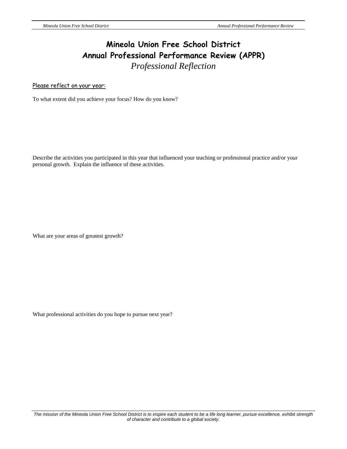## **Mineola Union Free School District Annual Professional Performance Review (APPR)**  *Professional Reflection*

Please reflect on your year:

To what extent did you achieve your focus? How do you know?

Describe the activities you participated in this year that influenced your teaching or professional practice and/or your personal growth. Explain the influence of these activities.

What are your areas of greatest growth?

What professional activities do you hope to pursue next year?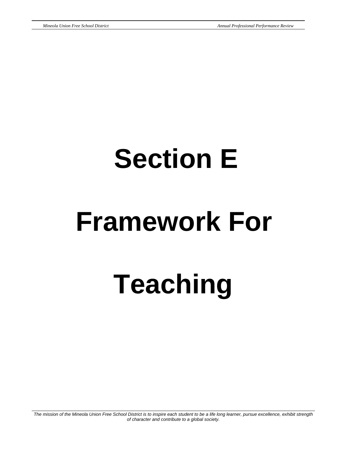# **Section E**

# **Framework For**

 **Teaching**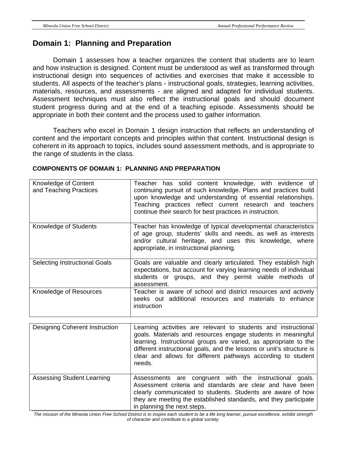#### **Domain 1: Planning and Preparation**

Domain 1 assesses how a teacher organizes the content that students are to learn and how instruction is designed. Content must be understood as well as transformed through instructional design into sequences of activities and exercises that make it accessible to students. All aspects of the teacher's plans - instructional goals, strategies, learning activities, materials, resources, and assessments - are aligned and adapted for individual students. Assessment techniques must also reflect the instructional goals and should document student progress during and at the end of a teaching episode. Assessments should be appropriate in both their content and the process used to gather information.

 Teachers who excel in Domain 1 design instruction that reflects an understanding of content and the important concepts and principles within that content. Instructional design is coherent in its approach to topics, includes sound assessment methods, and is appropriate to the range of students in the class.

| Knowledge of Content<br>and Teaching Practices | Teacher has solid content knowledge, with evidence of<br>continuing pursuit of such knowledge. Plans and practices build<br>upon knowledge and understanding of essential relationships.<br>Teaching practices reflect current research and teachers<br>continue their search for best practices in instruction. |
|------------------------------------------------|------------------------------------------------------------------------------------------------------------------------------------------------------------------------------------------------------------------------------------------------------------------------------------------------------------------|
| Knowledge of Students                          | Teacher has knowledge of typical developmental characteristics<br>of age group, students' skills and needs, as well as interests<br>and/or cultural heritage, and uses this knowledge, where<br>appropriate, in instructional planning.                                                                          |
| <b>Selecting Instructional Goals</b>           | Goals are valuable and clearly articulated. They establish high<br>expectations, but account for varying learning needs of individual<br>students or groups, and they permit viable methods of<br>assessment.                                                                                                    |
| Knowledge of Resources                         | Teacher is aware of school and district resources and actively<br>seeks out additional resources and materials to enhance<br>instruction                                                                                                                                                                         |
|                                                |                                                                                                                                                                                                                                                                                                                  |
| Designing Coherent Instruction                 | earning activities are relevant to students and instructional                                                                                                                                                                                                                                                    |

#### **COMPONENTS OF DOMAIN 1: PLANNING AND PREPARATION**

| Designing Coherent Instruction | Learning activities are relevant to students and instructional<br>goals. Materials and resources engage students in meaningful<br>learning. Instructional groups are varied, as appropriate to the<br>different instructional goals, and the lessons or unit's structure is<br>clear and allows for different pathways according to student<br>needs. |
|--------------------------------|-------------------------------------------------------------------------------------------------------------------------------------------------------------------------------------------------------------------------------------------------------------------------------------------------------------------------------------------------------|
| Assessing Student Learning     | Assessments are congruent with the instructional<br>goals.<br>Assessment criteria and standards are clear and have been<br>clearly communicated to students. Students are aware of how<br>they are meeting the established standards, and they participate<br>in planning the next steps.                                                             |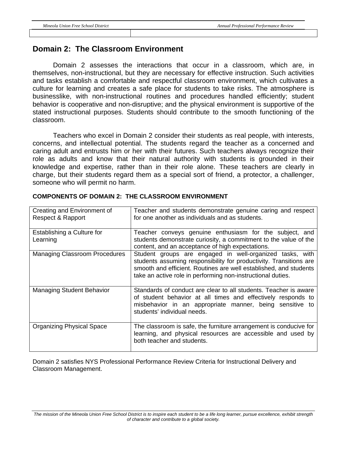#### **Domain 2: The Classroom Environment**

Domain 2 assesses the interactions that occur in a classroom, which are, in themselves, non-instructional, but they are necessary for effective instruction. Such activities and tasks establish a comfortable and respectful classroom environment, which cultivates a culture for learning and creates a safe place for students to take risks. The atmosphere is businesslike, with non-instructional routines and procedures handled efficiently; student behavior is cooperative and non-disruptive; and the physical environment is supportive of the stated instructional purposes. Students should contribute to the smooth functioning of the classroom.

 Teachers who excel in Domain 2 consider their students as real people, with interests, concerns, and intellectual potential. The students regard the teacher as a concerned and caring adult and entrusts him or her with their futures. Such teachers always recognize their role as adults and know that their natural authority with students is grounded in their knowledge and expertise, rather than in their role alone. These teachers are clearly in charge, but their students regard them as a special sort of friend, a protector, a challenger, someone who will permit no harm.

| Creating and Environment of<br>Respect & Rapport | Teacher and students demonstrate genuine caring and respect<br>for one another as individuals and as students.                                                                                                                                                     |
|--------------------------------------------------|--------------------------------------------------------------------------------------------------------------------------------------------------------------------------------------------------------------------------------------------------------------------|
| Establishing a Culture for<br>Learning           | Teacher conveys genuine enthusiasm for the subject, and<br>students demonstrate curiosity, a commitment to the value of the<br>content, and an acceptance of high expectations.                                                                                    |
| <b>Managing Classroom Procedures</b>             | Student groups are engaged in well-organized tasks, with<br>students assuming responsibility for productivity. Transitions are<br>smooth and efficient. Routines are well established, and students<br>take an active role in performing non-instructional duties. |
| <b>Managing Student Behavior</b>                 | Standards of conduct are clear to all students. Teacher is aware<br>of student behavior at all times and effectively responds to<br>misbehavior in an appropriate manner, being sensitive to<br>students' individual needs.                                        |
| <b>Organizing Physical Space</b>                 | The classroom is safe, the furniture arrangement is conducive for<br>learning, and physical resources are accessible and used by<br>both teacher and students.                                                                                                     |

#### **COMPONENTS OF DOMAIN 2: THE CLASSROOM ENVIRONMENT**

Domain 2 satisfies NYS Professional Performance Review Criteria for Instructional Delivery and Classroom Management.

*The mission of the Mineola Union Free School District is to inspire each student to be a life long learner, pursue excellence, exhibit strength of character and contribute to a global society.*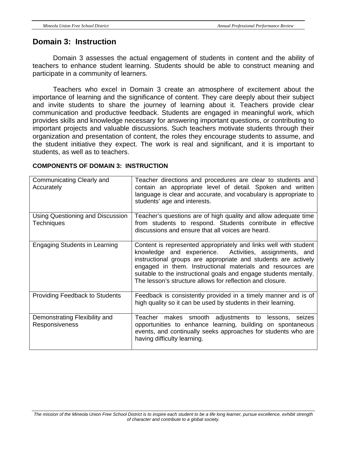#### **Domain 3: Instruction**

Domain 3 assesses the actual engagement of students in content and the ability of teachers to enhance student learning. Students should be able to construct meaning and participate in a community of learners.

 Teachers who excel in Domain 3 create an atmosphere of excitement about the importance of learning and the significance of content. They care deeply about their subject and invite students to share the journey of learning about it. Teachers provide clear communication and productive feedback. Students are engaged in meaningful work, which provides skills and knowledge necessary for answering important questions, or contributing to important projects and valuable discussions. Such teachers motivate students through their organization and presentation of content, the roles they encourage students to assume, and the student initiative they expect. The work is real and significant, and it is important to students, as well as to teachers.

| Communicating Clearly and<br>Accurately                | Teacher directions and procedures are clear to students and<br>contain an appropriate level of detail. Spoken and written<br>language is clear and accurate, and vocabulary is appropriate to<br>students' age and interests.                                                                                                                                                                |
|--------------------------------------------------------|----------------------------------------------------------------------------------------------------------------------------------------------------------------------------------------------------------------------------------------------------------------------------------------------------------------------------------------------------------------------------------------------|
| Using Questioning and Discussion<br><b>Techniques</b>  | Teacher's questions are of high quality and allow adequate time<br>from students to respond. Students contribute in effective<br>discussions and ensure that all voices are heard.                                                                                                                                                                                                           |
| <b>Engaging Students in Learning</b>                   | Content is represented appropriately and links well with student<br>knowledge and experience. Activities, assignments, and<br>instructional groups are appropriate and students are actively<br>engaged in them. Instructional materials and resources are<br>suitable to the instructional goals and engage students mentally.<br>The lesson's structure allows for reflection and closure. |
| <b>Providing Feedback to Students</b>                  | Feedback is consistently provided in a timely manner and is of<br>high quality so it can be used by students in their learning.                                                                                                                                                                                                                                                              |
| Demonstrating Flexibility and<br><b>Responsiveness</b> | Teacher makes smooth adjustments to lessons, seizes<br>opportunities to enhance learning, building on spontaneous<br>events, and continually seeks approaches for students who are<br>having difficulty learning.                                                                                                                                                                            |

#### **COMPONENTS OF DOMAIN 3: INSTRUCTION**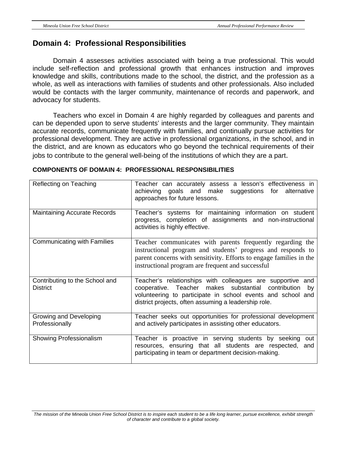#### **Domain 4: Professional Responsibilities**

Domain 4 assesses activities associated with being a true professional. This would include self-reflection and professional growth that enhances instruction and improves knowledge and skills, contributions made to the school, the district, and the profession as a whole, as well as interactions with families of students and other professionals. Also included would be contacts with the larger community, maintenance of records and paperwork, and advocacy for students.

 Teachers who excel in Domain 4 are highly regarded by colleagues and parents and can be depended upon to serve students' interests and the larger community. They maintain accurate records, communicate frequently with families, and continually pursue activities for professional development. They are active in professional organizations, in the school, and in the district, and are known as educators who go beyond the technical requirements of their jobs to contribute to the general well-being of the institutions of which they are a part.

| Reflecting on Teaching                            | Teacher can accurately assess a lesson's effectiveness in<br>achieving goals and make suggestions for<br>alternative<br>approaches for future lessons.                                                                                                 |
|---------------------------------------------------|--------------------------------------------------------------------------------------------------------------------------------------------------------------------------------------------------------------------------------------------------------|
| <b>Maintaining Accurate Records</b>               | Teacher's systems for maintaining information on student<br>progress, completion of assignments and non-instructional<br>activities is highly effective.                                                                                               |
| Communicating with Families                       | Teacher communicates with parents frequently regarding the<br>instructional program and students' progress and responds to<br>parent concerns with sensitivity. Efforts to engage families in the<br>instructional program are frequent and successful |
| Contributing to the School and<br><b>District</b> | Teacher's relationships with colleagues are supportive and<br>cooperative. Teacher makes substantial<br>contribution<br>by<br>volunteering to participate in school events and school and<br>district projects, often assuming a leadership role.      |
| Growing and Developing<br>Professionally          | Teacher seeks out opportunities for professional development<br>and actively participates in assisting other educators.                                                                                                                                |
| Showing Professionalism                           | Teacher is proactive in serving students by seeking<br>out<br>resources, ensuring that all students are respected, and<br>participating in team or department decision-making.                                                                         |

#### **COMPONENTS OF DOMAIN 4: PROFESSIONAL RESPONSIBILITIES**